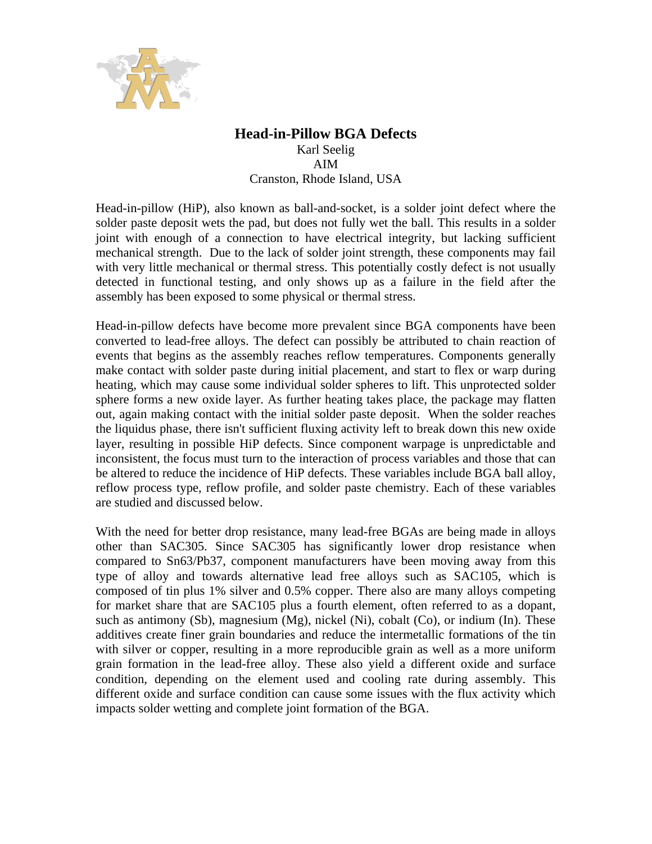

## **Head-in-Pillow BGA Defects**

Karl Seelig AIM Cranston, Rhode Island, USA

Head-in-pillow (HiP), also known as ball-and-socket, is a solder joint defect where the solder paste deposit wets the pad, but does not fully wet the ball. This results in a solder joint with enough of a connection to have electrical integrity, but lacking sufficient mechanical strength. Due to the lack of solder joint strength, these components may fail with very little mechanical or thermal stress. This potentially costly defect is not usually detected in functional testing, and only shows up as a failure in the field after the assembly has been exposed to some physical or thermal stress.

Head-in-pillow defects have become more prevalent since BGA components have been converted to lead-free alloys. The defect can possibly be attributed to chain reaction of events that begins as the assembly reaches reflow temperatures. Components generally make contact with solder paste during initial placement, and start to flex or warp during heating, which may cause some individual solder spheres to lift. This unprotected solder sphere forms a new oxide layer. As further heating takes place, the package may flatten out, again making contact with the initial solder paste deposit. When the solder reaches the liquidus phase, there isn't sufficient fluxing activity left to break down this new oxide layer, resulting in possible HiP defects. Since component warpage is unpredictable and inconsistent, the focus must turn to the interaction of process variables and those that can be altered to reduce the incidence of HiP defects. These variables include BGA ball alloy, reflow process type, reflow profile, and solder paste chemistry. Each of these variables are studied and discussed below.

With the need for better drop resistance, many lead-free BGAs are being made in alloys other than SAC305. Since SAC305 has significantly lower drop resistance when compared to Sn63/Pb37, component manufacturers have been moving away from this type of alloy and towards alternative lead free alloys such as SAC105, which is composed of tin plus 1% silver and 0.5% copper. There also are many alloys competing for market share that are SAC105 plus a fourth element, often referred to as a dopant, such as antimony (Sb), magnesium (Mg), nickel (Ni), cobalt (Co), or indium (In). These additives create finer grain boundaries and reduce the intermetallic formations of the tin with silver or copper, resulting in a more reproducible grain as well as a more uniform grain formation in the lead-free alloy. These also yield a different oxide and surface condition, depending on the element used and cooling rate during assembly. This different oxide and surface condition can cause some issues with the flux activity which impacts solder wetting and complete joint formation of the BGA.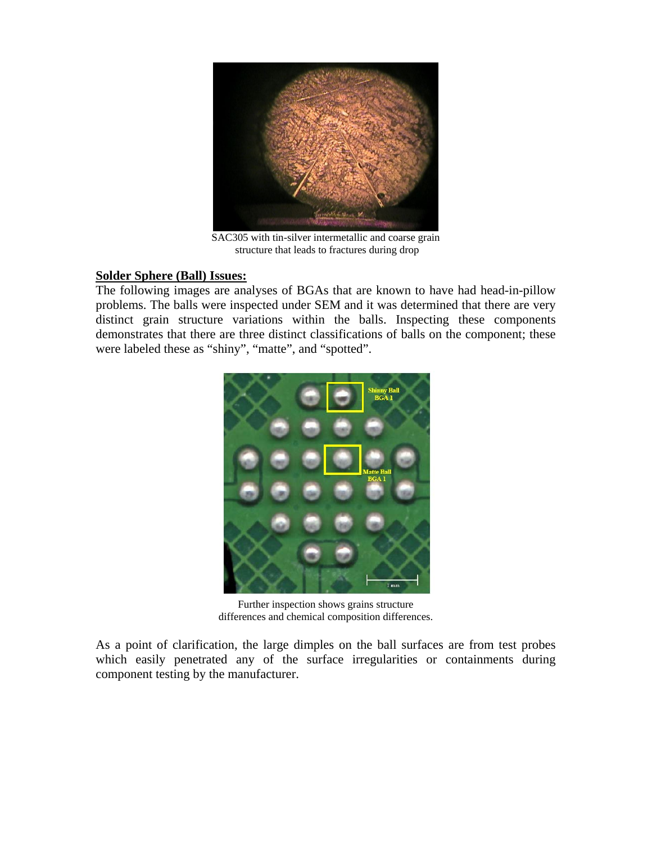

SAC305 with tin-silver intermetallic and coarse grain structure that leads to fractures during drop

## **Solder Sphere (Ball) Issues:**

The following images are analyses of BGAs that are known to have had head-in-pillow problems. The balls were inspected under SEM and it was determined that there are very distinct grain structure variations within the balls. Inspecting these components demonstrates that there are three distinct classifications of balls on the component; these were labeled these as "shiny", "matte", and "spotted".



Further inspection shows grains structure differences and chemical composition differences.

As a point of clarification, the large dimples on the ball surfaces are from test probes which easily penetrated any of the surface irregularities or containments during component testing by the manufacturer.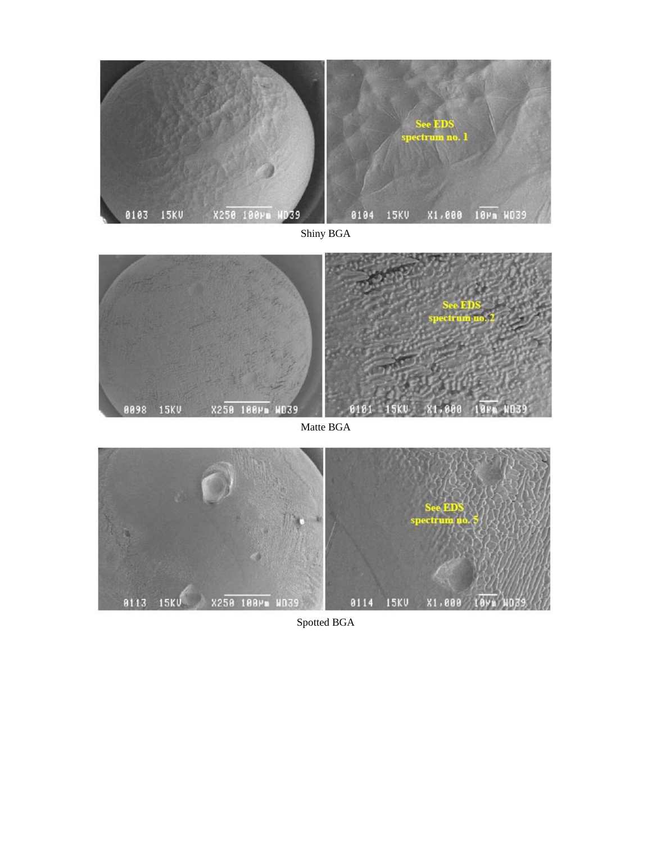

Shiny BGA



Matte BGA



Spotted BGA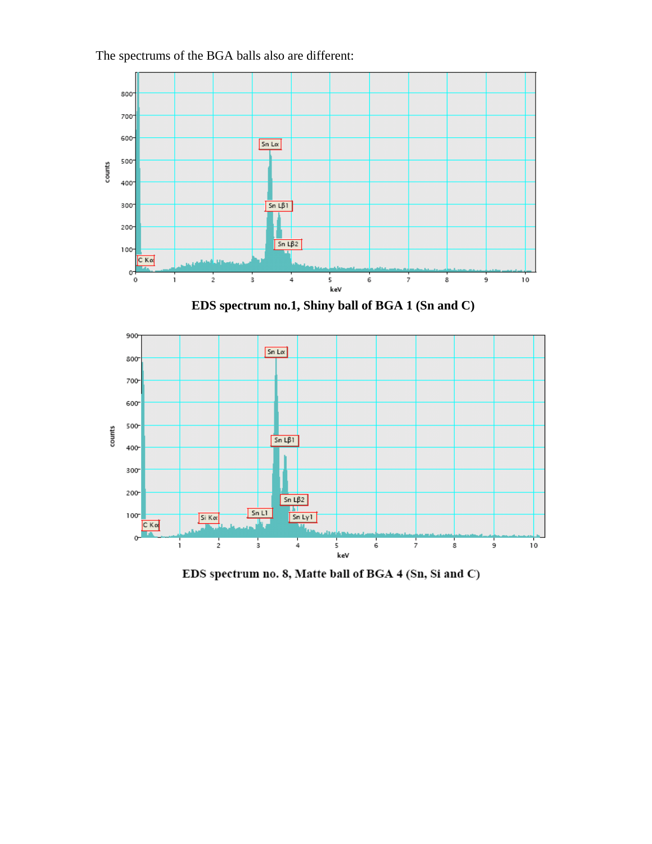The spectrums of the BGA balls also are different:



**EDS spectrum no.1, Shiny ball of BGA 1 (Sn and C)** 



EDS spectrum no. 8, Matte ball of BGA 4 (Sn, Si and C)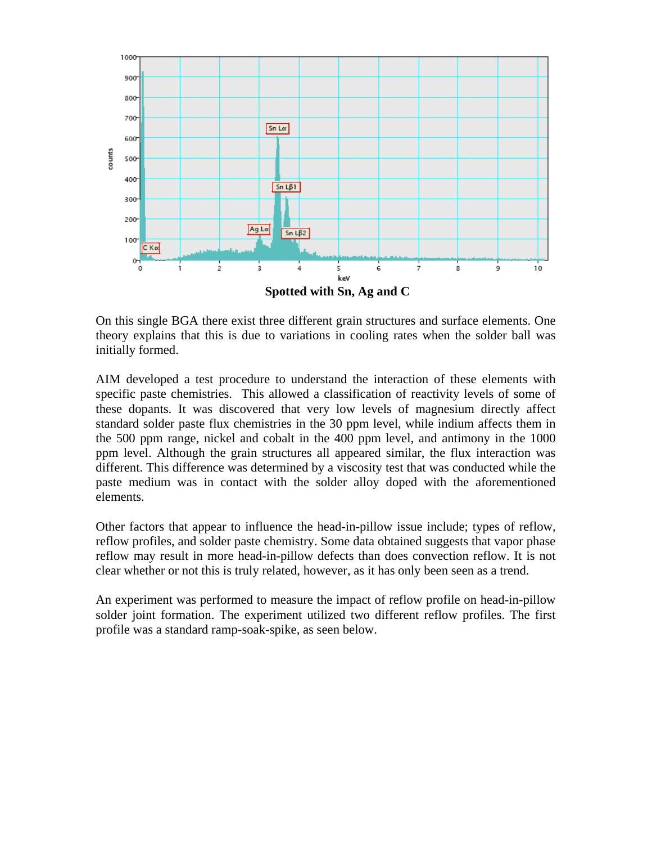

On this single BGA there exist three different grain structures and surface elements. One theory explains that this is due to variations in cooling rates when the solder ball was initially formed.

AIM developed a test procedure to understand the interaction of these elements with specific paste chemistries. This allowed a classification of reactivity levels of some of these dopants. It was discovered that very low levels of magnesium directly affect standard solder paste flux chemistries in the 30 ppm level, while indium affects them in the 500 ppm range, nickel and cobalt in the 400 ppm level, and antimony in the 1000 ppm level. Although the grain structures all appeared similar, the flux interaction was different. This difference was determined by a viscosity test that was conducted while the paste medium was in contact with the solder alloy doped with the aforementioned elements.

Other factors that appear to influence the head-in-pillow issue include; types of reflow, reflow profiles, and solder paste chemistry. Some data obtained suggests that vapor phase reflow may result in more head-in-pillow defects than does convection reflow. It is not clear whether or not this is truly related, however, as it has only been seen as a trend.

An experiment was performed to measure the impact of reflow profile on head-in-pillow solder joint formation. The experiment utilized two different reflow profiles. The first profile was a standard ramp-soak-spike, as seen below.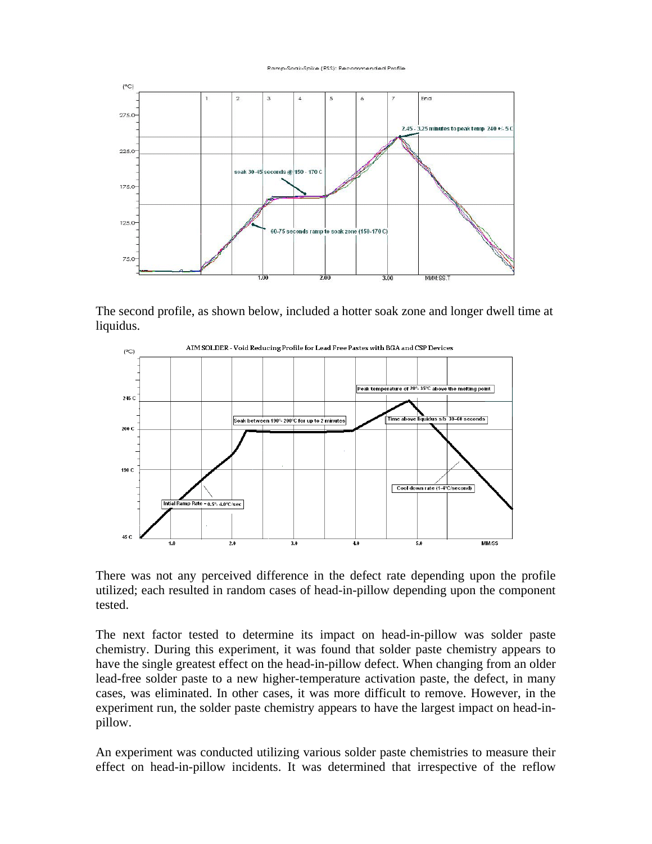## Ramp-Soak-Spike (RSS): Recommended Profile



The second profile, as shown below, included a hotter soak zone and longer dwell time at liquidus.



There was not any perceived difference in the defect rate depending upon the profile utilized; each resulted in random cases of head-in-pillow depending upon the component tested.

The next factor tested to determine its impact on head-in-pillow was solder paste chemistry. During this experiment, it was found that solder paste chemistry appears to have the single greatest effect on the head-in-pillow defect. When changing from an older lead-free solder paste to a new higher-temperature activation paste, the defect, in many cases, was eliminated. In other cases, it was more difficult to remove. However, in the experiment run, the solder paste chemistry appears to have the largest impact on head-inpillow.

An experiment was conducted utilizing various solder paste chemistries to measure their effect on head-in-pillow incidents. It was determined that irrespective of the reflow